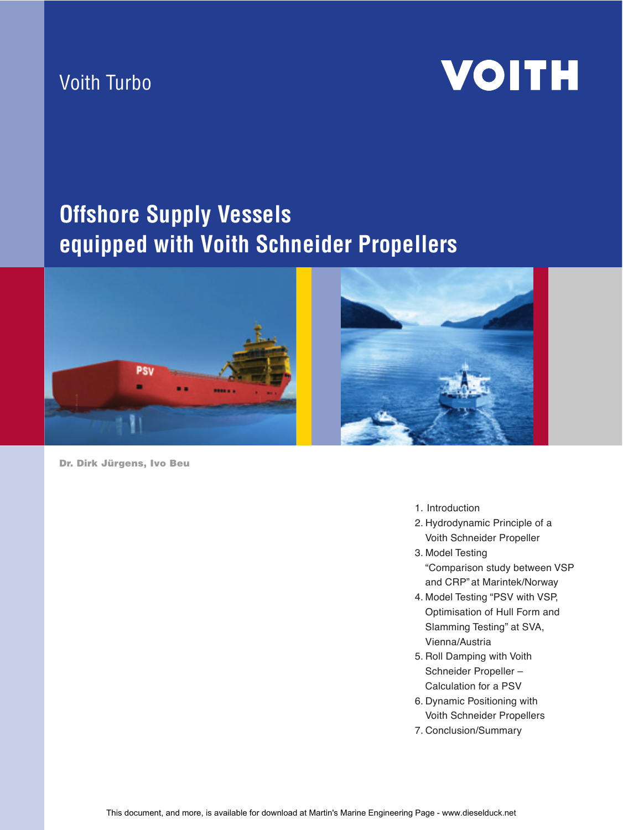### Voith Turbo

# **VOITH**

# **Offshore Supply Vessels equipped with Voith Schneider Propellers**







- 1. Introduction
- 2. Hydrodynamic Principle of a Voith Schneider Propeller
- 3. Model Testing "Comparison study between VSP and CRP" at Marintek/Norway
- 4. Model Testing "PSV with VSP, Optimisation of Hull Form and Slamming Testing" at SVA, Vienna/Austria
- 5. Roll Damping with Voith Schneider Propeller – Calculation for a PSV
- 6. Dynamic Positioning with Voith Schneider Propellers
- 7. Conclusion/Summary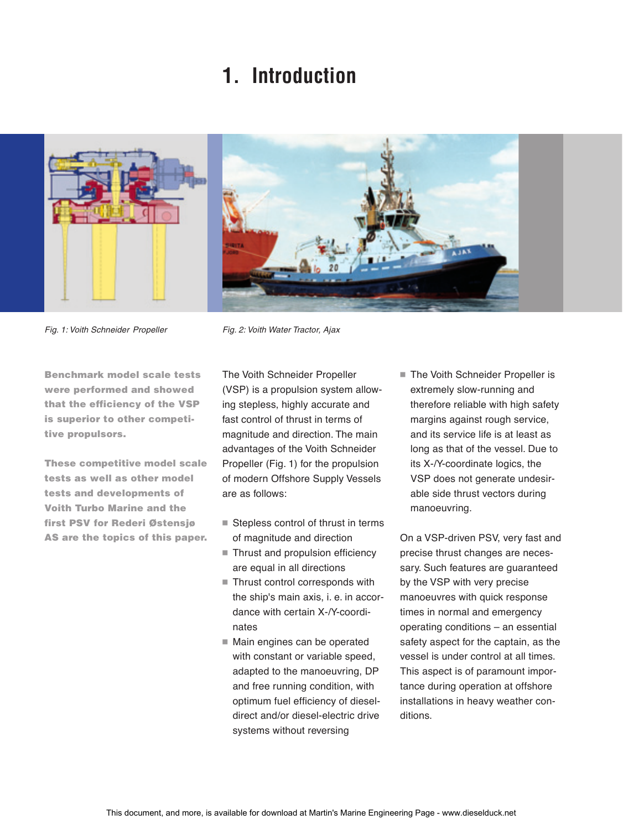## **1. Introduction**



Fig. 1: Voith Schneider Propeller

Fig. 2: Voith Water Tractor, Ajax

Benchmark model scale tests were performed and showed that the efficiency of the VSP is superior to other competitive propulsors.

These competitive model scale tests as well as other model tests and developments of Voith Turbo Marine and the first PSV for Rederi Østensjø AS are the topics of this paper. The Voith Schneider Propeller (VSP) is a propulsion system allowing stepless, highly accurate and fast control of thrust in terms of magnitude and direction. The main advantages of the Voith Schneider Propeller (Fig. 1) for the propulsion of modern Offshore Supply Vessels are as follows:

- $\blacksquare$  Stepless control of thrust in terms of magnitude and direction
- Thrust and propulsion efficiency are equal in all directions
- $\quad \blacksquare$  Thrust control corresponds with the ship's main axis, i. e. in accordance with certain X-/Y-coordinates
- Main engines can be operated with constant or variable speed, adapted to the manoeuvring, DP and free running condition, with optimum fuel efficiency of dieseldirect and/or diesel-electric drive systems without reversing

 $\blacksquare$  The Voith Schneider Propeller is extremely slow-running and therefore reliable with high safety margins against rough service, and its service life is at least as long as that of the vessel. Due to its X-/Y-coordinate logics, the VSP does not generate undesirable side thrust vectors during manoeuvring.

On a VSP-driven PSV, very fast and precise thrust changes are necessary. Such features are guaranteed by the VSP with very precise manoeuvres with quick response times in normal and emergency operating conditions – an essential safety aspect for the captain, as the vessel is under control at all times. This aspect is of paramount importance during operation at offshore installations in heavy weather conditions.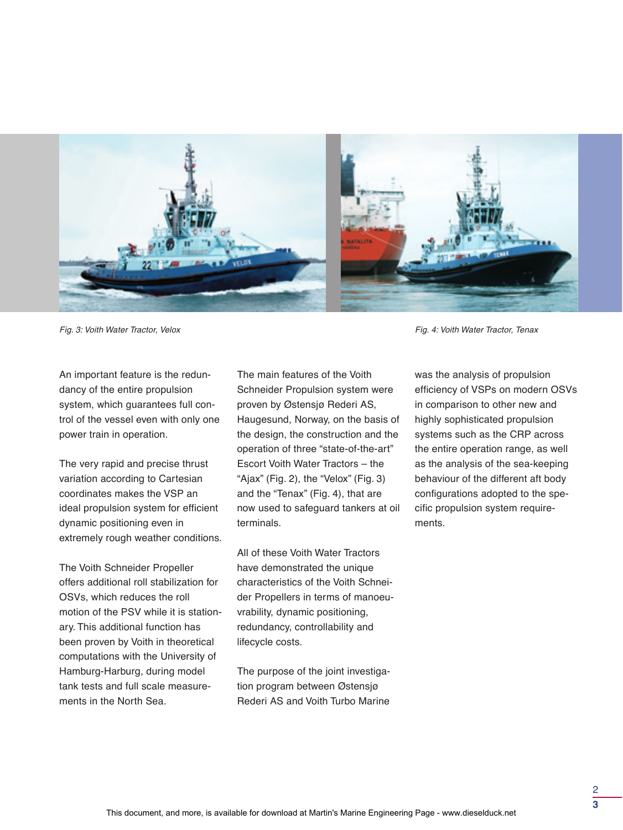![](_page_2_Picture_0.jpeg)

Fig. 3: Voith Water Tractor, Velox Fig. 4: Voith Water Tractor, Tenax

An important feature is the redundancy of the entire propulsion system, which guarantees full control of the vessel even with only one power train in operation.

The very rapid and precise thrust variation according to Cartesian coordinates makes the VSP an ideal propulsion system for efficient dynamic positioning even in extremely rough weather conditions.

The Voith Schneider Propeller offers additional roll stabilization for OSVs, which reduces the roll motion of the PSV while it is stationary. This additional function has been proven by Voith in theoretical computations with the University of Hamburg-Harburg, during model tank tests and full scale measurements in the North Sea.

The main features of the Voith Schneider Propulsion system were proven by Østensjø Rederi AS, Haugesund, Norway, on the basis of the design, the construction and the operation of three "state-of-the-art" Escort Voith Water Tractors – the "Ajax" (Fig. 2), the "Velox" (Fig. 3) and the "Tenax" (Fig. 4), that are now used to safeguard tankers at oil terminals.

All of these Voith Water Tractors have demonstrated the unique characteristics of the Voith Schneider Propellers in terms of manoeuvrability, dynamic positioning, redundancy, controllability and lifecycle costs.

The purpose of the joint investigation program between Østensjø Rederi AS and Voith Turbo Marine

was the analysis of propulsion efficiency of VSPs on modern OSVs in comparison to other new and highly sophisticated propulsion systems such as the CRP across the entire operation range, as well as the analysis of the sea-keeping behaviour of the different aft body configurations adopted to the specific propulsion system requirements.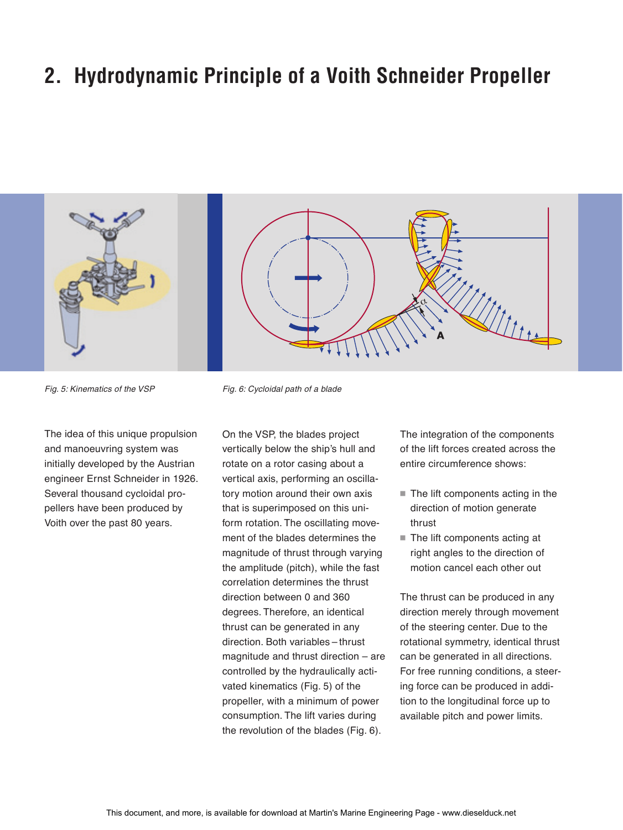## **2. Hydrodynamic Principle of a Voith Schneider Propeller**

![](_page_3_Picture_1.jpeg)

![](_page_3_Picture_2.jpeg)

Fig. 5: Kinematics of the VSP Fig. 6: Cycloidal path of a blade

The idea of this unique propulsion and manoeuvring system was initially developed by the Austrian engineer Ernst Schneider in 1926. Several thousand cycloidal propellers have been produced by Voith over the past 80 years.

On the VSP, the blades project vertically below the ship's hull and rotate on a rotor casing about a vertical axis, performing an oscillatory motion around their own axis that is superimposed on this uniform rotation. The oscillating movement of the blades determines the magnitude of thrust through varying the amplitude (pitch), while the fast correlation determines the thrust direction between 0 and 360 degrees. Therefore, an identical thrust can be generated in any direction. Both variables – thrust magnitude and thrust direction – are controlled by the hydraulically activated kinematics (Fig. 5) of the propeller, with a minimum of power consumption. The lift varies during the revolution of the blades (Fig. 6).

The integration of the components of the lift forces created across the entire circumference shows:

- $\blacksquare$  The lift components acting in the direction of motion generate thrust
- The lift components acting at right angles to the direction of motion cancel each other out

The thrust can be produced in any direction merely through movement of the steering center. Due to the rotational symmetry, identical thrust can be generated in all directions. For free running conditions, a steering force can be produced in addition to the longitudinal force up to available pitch and power limits.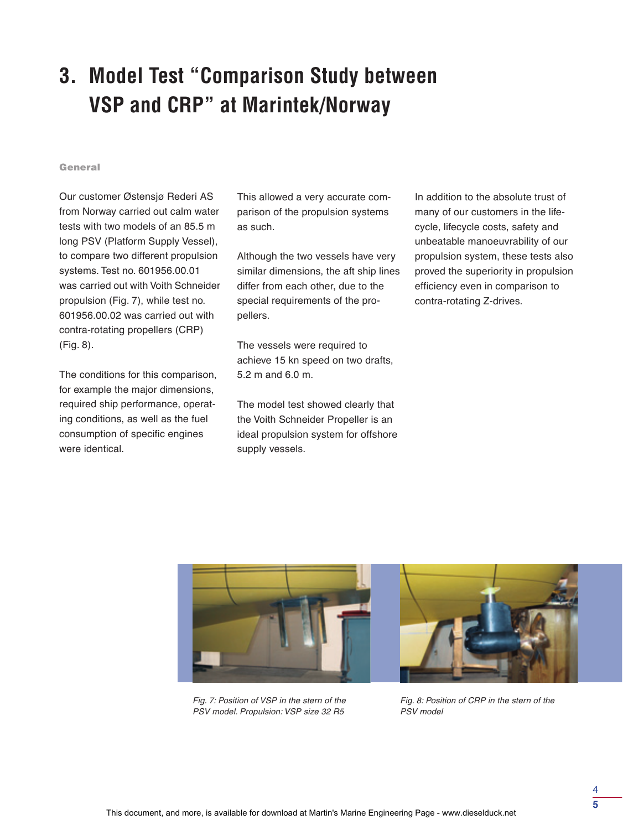# **3. Model Test "Comparison Study between VSP and CRP" at Marintek/Norway**

#### General

Our customer Østensjø Rederi AS from Norway carried out calm water tests with two models of an 85.5 m long PSV (Platform Supply Vessel), to compare two different propulsion systems. Test no. 601956.00.01 was carried out with Voith Schneider propulsion (Fig. 7), while test no. 601956.00.02 was carried out with contra-rotating propellers (CRP) (Fig. 8).

The conditions for this comparison, for example the major dimensions, required ship performance, operating conditions, as well as the fuel consumption of specific engines were identical.

This allowed a very accurate comparison of the propulsion systems as such.

Although the two vessels have very similar dimensions, the aft ship lines differ from each other, due to the special requirements of the propellers.

The vessels were required to achieve 15 kn speed on two drafts, 5.2 m and 6.0 m.

The model test showed clearly that the Voith Schneider Propeller is an ideal propulsion system for offshore supply vessels.

In addition to the absolute trust of many of our customers in the lifecycle, lifecycle costs, safety and unbeatable manoeuvrability of our propulsion system, these tests also proved the superiority in propulsion efficiency even in comparison to contra-rotating Z-drives.

![](_page_4_Picture_9.jpeg)

Fig. 7: Position of VSP in the stern of the PSV model. Propulsion: VSP size 32 R5

Fig. 8: Position of CRP in the stern of the PSV model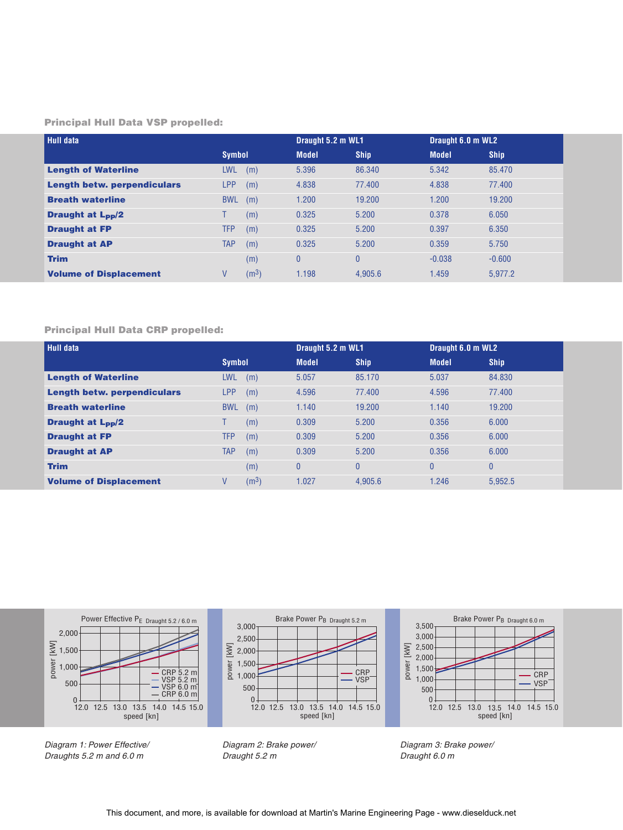#### Principal Hull Data VSP propelled:

| <b>Hull data</b>                   |               |                   | Draught 5.2 m WL1 |             | Draught 6.0 m WL2 |             |
|------------------------------------|---------------|-------------------|-------------------|-------------|-------------------|-------------|
|                                    | <b>Symbol</b> |                   | <b>Model</b>      | <b>Ship</b> | <b>Model</b>      | <b>Ship</b> |
| <b>Length of Waterline</b>         | <b>LWL</b>    | (m)               | 5.396             | 86.340      | 5.342             | 85.470      |
| <b>Length betw. perpendiculars</b> | <b>LPP</b>    | (m)               | 4.838             | 77.400      | 4.838             | 77.400      |
| <b>Breath waterline</b>            | <b>BWL</b>    | (m)               | 1.200             | 19.200      | 1.200             | 19.200      |
| <b>Draught at L<sub>pp</sub>/2</b> |               | (m)               | 0.325             | 5.200       | 0.378             | 6.050       |
| <b>Draught at FP</b>               | <b>TFP</b>    | (m)               | 0.325             | 5.200       | 0.397             | 6.350       |
| <b>Draught at AP</b>               | <b>TAP</b>    | (m)               | 0.325             | 5.200       | 0.359             | 5.750       |
| <b>Trim</b>                        |               | (m)               | $\theta$          | $\theta$    | $-0.038$          | $-0.600$    |
| <b>Volume of Displacement</b>      | V             | (m <sup>3</sup> ) | 1.198             | 4.905.6     | 1.459             | 5.977.2     |

#### Principal Hull Data CRP propelled:

| <b>Hull data</b>                   |               |                   | Draught 5.2 m WL1 |                | Draught 6.0 m WL2 |              |
|------------------------------------|---------------|-------------------|-------------------|----------------|-------------------|--------------|
|                                    | <b>Symbol</b> |                   | <b>Model</b>      | <b>Ship</b>    | <b>Model</b>      | <b>Ship</b>  |
| <b>Length of Waterline</b>         | <b>LWL</b>    | (m)               | 5.057             | 85.170         | 5.037             | 84.830       |
| <b>Length betw. perpendiculars</b> | LPP           | (m)               | 4.596             | 77.400         | 4.596             | 77.400       |
| <b>Breath waterline</b>            | <b>BWL</b>    | (m)               | 1.140             | 19.200         | 1.140             | 19.200       |
| <b>Draught at L<sub>pp</sub>/2</b> |               | (m)               | 0.309             | 5.200          | 0.356             | 6.000        |
| <b>Draught at FP</b>               | <b>TFP</b>    | (m)               | 0.309             | 5.200          | 0.356             | 6.000        |
| <b>Draught at AP</b>               | <b>TAP</b>    | (m)               | 0.309             | 5.200          | 0.356             | 6.000        |
| <b>Trim</b>                        |               | (m)               | $\overline{0}$    | $\overline{0}$ | $\overline{0}$    | $\mathbf{0}$ |
| <b>Volume of Displacement</b>      | V             | (m <sup>3</sup> ) | 1.027             | 4.905.6        | 1.246             | 5.952.5      |

![](_page_5_Figure_4.jpeg)

Diagram 1: Power Effective/ Draughts 5.2 m and 6.0 m

Diagram 2: Brake power/ Draught 5.2 m

Diagram 3: Brake power/ Draught 6.0 m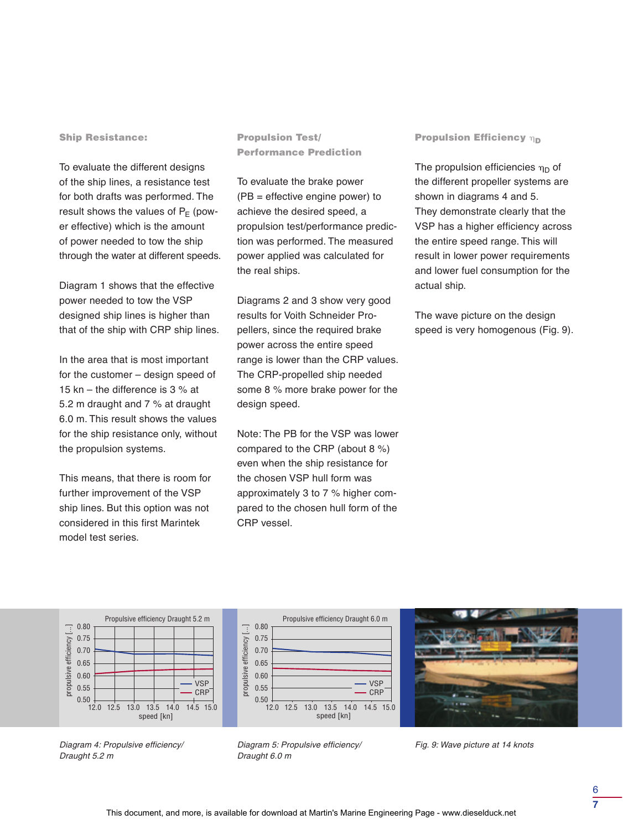#### Ship Resistance:

To evaluate the different designs of the ship lines, a resistance test for both drafts was performed. The result shows the values of  $P_F$  (power effective) which is the amount of power needed to tow the ship through the water at different speeds.

Diagram 1 shows that the effective power needed to tow the VSP designed ship lines is higher than that of the ship with CRP ship lines.

In the area that is most important for the customer – design speed of 15 kn – the difference is 3 % at 5.2 m draught and 7 % at draught 6.0 m. This result shows the values for the ship resistance only, without the propulsion systems.

This means, that there is room for further improvement of the VSP ship lines. But this option was not considered in this first Marintek model test series.

Propulsion Test/ Performance Prediction

To evaluate the brake power (PB = effective engine power) to achieve the desired speed, a propulsion test/performance prediction was performed. The measured power applied was calculated for the real ships.

Diagrams 2 and 3 show very good results for Voith Schneider Propellers, since the required brake power across the entire speed range is lower than the CRP values. The CRP-propelled ship needed some 8 % more brake power for the design speed.

Note: The PB for the VSP was lower compared to the CRP (about 8 %) even when the ship resistance for the chosen VSP hull form was approximately 3 to 7 % higher compared to the chosen hull form of the CRP vessel.

#### Propulsion Efficiency  $\eta_{\text{D}}$

The propulsion efficiencies  $\eta_{\mathsf{D}}$  of the different propeller systems are shown in diagrams 4 and 5. They demonstrate clearly that the VSP has a higher efficiency across the entire speed range. This will result in lower power requirements and lower fuel consumption for the actual ship.

The wave picture on the design speed is very homogenous (Fig. 9).

![](_page_6_Figure_12.jpeg)

![](_page_6_Figure_13.jpeg)

![](_page_6_Picture_14.jpeg)

Diagram 4: Propulsive efficiency/ Draught 5.2 m

Diagram 5: Propulsive efficiency/ Draught 6.0 m

Fig. 9: Wave picture at 14 knots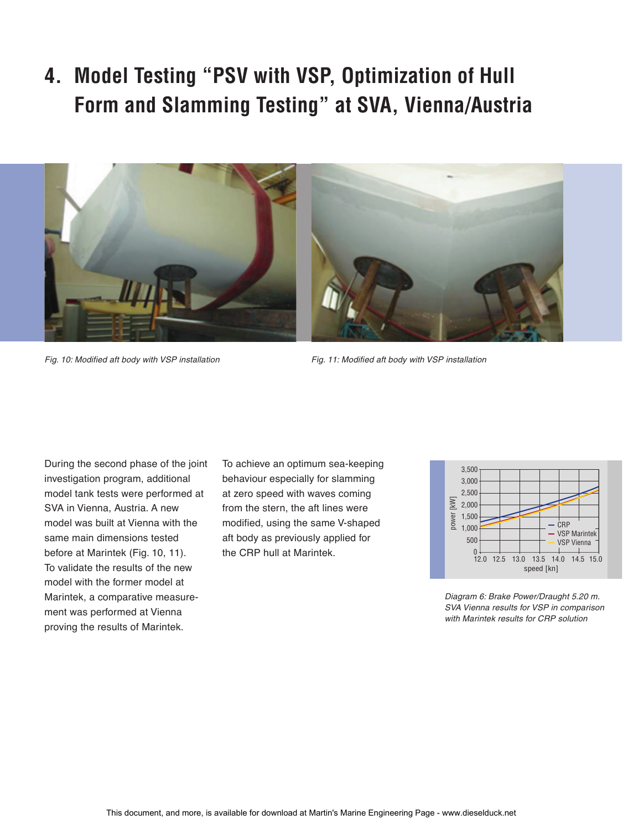**4. Model Testing "PSV with VSP, Optimization of Hull Form and Slamming Testing" at SVA, Vienna/Austria**

![](_page_7_Picture_1.jpeg)

Fig. 10: Modified aft body with VSP installation Fig. 11: Modified aft body with VSP installation

During the second phase of the joint investigation program, additional model tank tests were performed at SVA in Vienna, Austria. A new model was built at Vienna with the same main dimensions tested before at Marintek (Fig. 10, 11). To validate the results of the new model with the former model at Marintek, a comparative measurement was performed at Vienna proving the results of Marintek.

To achieve an optimum sea-keeping behaviour especially for slamming at zero speed with waves coming from the stern, the aft lines were modified, using the same V-shaped aft body as previously applied for the CRP hull at Marintek.

![](_page_7_Figure_6.jpeg)

Diagram 6: Brake Power/Draught 5.20 m. SVA Vienna results for VSP in comparison with Marintek results for CRP solution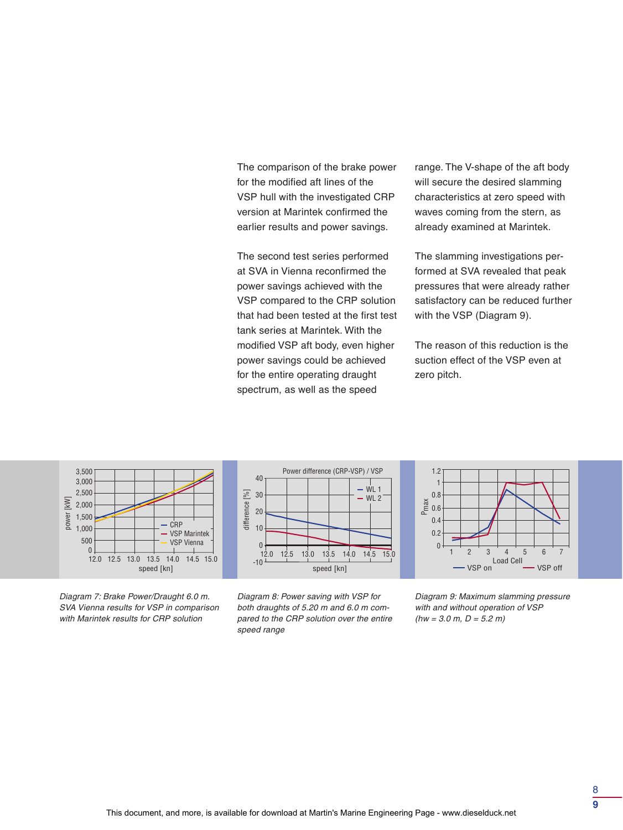The comparison of the brake power for the modified aft lines of the VSP hull with the investigated CRP version at Marintek confirmed the earlier results and power savings.

The second test series performed at SVA in Vienna reconfirmed the power savings achieved with the VSP compared to the CRP solution that had been tested at the first test tank series at Marintek. With the modified VSP aft body, even higher power savings could be achieved for the entire operating draught spectrum, as well as the speed

range. The V-shape of the aft body will secure the desired slamming characteristics at zero speed with waves coming from the stern, as already examined at Marintek.

The slamming investigations performed at SVA revealed that peak pressures that were already rather satisfactory can be reduced further with the VSP (Diagram 9).

The reason of this reduction is the suction effect of the VSP even at zero pitch.

![](_page_8_Figure_5.jpeg)

Diagram 7: Brake Power/Draught 6.0 m. SVA Vienna results for VSP in comparison with Marintek results for CRP solution

![](_page_8_Figure_7.jpeg)

Diagram 8: Power saving with VSP for both draughts of 5.20 m and 6.0 m compared to the CRP solution over the entire speed range

![](_page_8_Figure_9.jpeg)

Diagram 9: Maximum slamming pressure with and without operation of VSP  $(hw = 3.0 \text{ m}, D = 5.2 \text{ m})$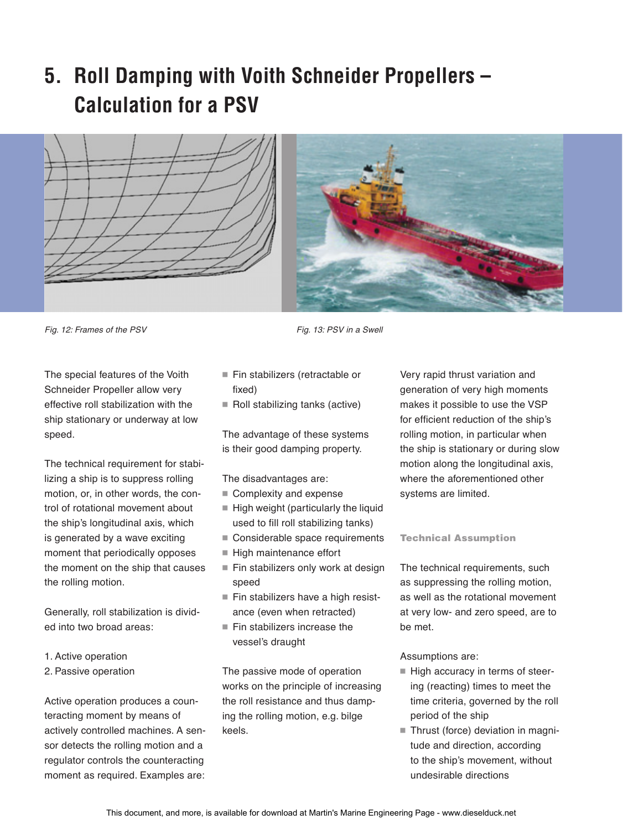# **5. Roll Damping with Voith Schneider Propellers – Calculation for a PSV**

![](_page_9_Picture_1.jpeg)

![](_page_9_Picture_2.jpeg)

Fig. 12: Frames of the PSV Fig. 13: PSV in a Swell

The special features of the Voith Schneider Propeller allow very effective roll stabilization with the ship stationary or underway at low speed.

The technical requirement for stabilizing a ship is to suppress rolling motion, or, in other words, the control of rotational movement about the ship's longitudinal axis, which is generated by a wave exciting moment that periodically opposes the moment on the ship that causes the rolling motion.

Generally, roll stabilization is divided into two broad areas:

- 1. Active operation
- 2. Passive operation

Active operation produces a counteracting moment by means of actively controlled machines. A sensor detects the rolling motion and a regulator controls the counteracting moment as required. Examples are:

- $\blacksquare$  Fin stabilizers (retractable or fixed)
- $\blacksquare$  Roll stabilizing tanks (active)

The advantage of these systems is their good damping property.

The disadvantages are:

- Complexity and expense
- $\blacksquare$  High weight (particularly the liquid used to fill roll stabilizing tanks)
- Considerable space requirements
- High maintenance effort
- Fin stabilizers only work at design speed
- Fin stabilizers have a high resistance (even when retracted)
- $\blacksquare$  Fin stabilizers increase the vessel's draught

The passive mode of operation works on the principle of increasing the roll resistance and thus damping the rolling motion, e.g. bilge keels.

Very rapid thrust variation and generation of very high moments makes it possible to use the VSP for efficient reduction of the ship's rolling motion, in particular when the ship is stationary or during slow motion along the longitudinal axis, where the aforementioned other systems are limited.

#### Technical Assumption

The technical requirements, such as suppressing the rolling motion, as well as the rotational movement at very low- and zero speed, are to be met.

Assumptions are:

- High accuracy in terms of steering (reacting) times to meet the time criteria, governed by the roll period of the ship
- Thrust (force) deviation in magnitude and direction, according to the ship's movement, without undesirable directions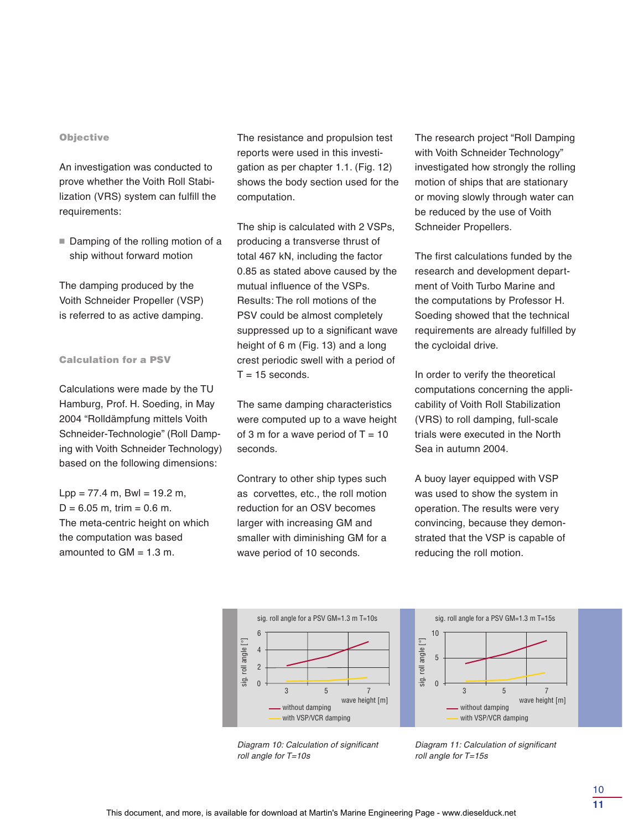#### **Objective**

An investigation was conducted to prove whether the Voith Roll Stabilization (VRS) system can fulfill the requirements:

 $\blacksquare$  Damping of the rolling motion of a ship without forward motion

The damping produced by the Voith Schneider Propeller (VSP) is referred to as active damping.

#### Calculation for a PSV

Calculations were made by the TU Hamburg, Prof. H. Soeding, in May 2004 "Rolldämpfung mittels Voith Schneider-Technologie" (Roll Damping with Voith Schneider Technology) based on the following dimensions:

 $Lpp = 77.4$  m, Bwl = 19.2 m,  $D = 6.05$  m, trim = 0.6 m. The meta-centric height on which the computation was based amounted to  $GM = 1.3$  m.

The resistance and propulsion test reports were used in this investigation as per chapter 1.1. (Fig. 12) shows the body section used for the computation.

The ship is calculated with 2 VSPs, producing a transverse thrust of total 467 kN, including the factor 0.85 as stated above caused by the mutual influence of the VSPs. Results: The roll motions of the PSV could be almost completely suppressed up to a significant wave height of 6 m (Fig. 13) and a long crest periodic swell with a period of  $T = 15$  seconds.

The same damping characteristics were computed up to a wave height of 3 m for a wave period of  $T = 10$ seconds.

Contrary to other ship types such as corvettes, etc., the roll motion reduction for an OSV becomes larger with increasing GM and smaller with diminishing GM for a wave period of 10 seconds.

The research project "Roll Damping with Voith Schneider Technology" investigated how strongly the rolling motion of ships that are stationary or moving slowly through water can be reduced by the use of Voith Schneider Propellers.

The first calculations funded by the research and development department of Voith Turbo Marine and the computations by Professor H. Soeding showed that the technical requirements are already fulfilled by the cycloidal drive.

In order to verify the theoretical computations concerning the applicability of Voith Roll Stabilization (VRS) to roll damping, full-scale trials were executed in the North Sea in autumn 2004.

A buoy layer equipped with VSP was used to show the system in operation. The results were very convincing, because they demonstrated that the VSP is capable of reducing the roll motion.

![](_page_10_Figure_15.jpeg)

![](_page_10_Figure_16.jpeg)

Diagram 10: Calculation of significant roll angle for T=10s

Diagram 11: Calculation of significant roll angle for T=15s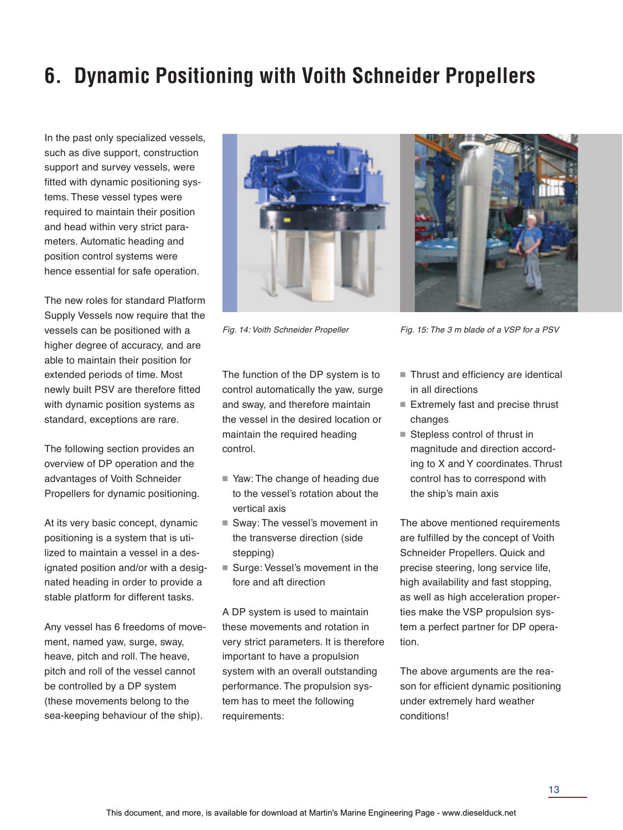# **6. Dynamic Positioning with Voith Schneider Propellers**

In the past only specialized vessels, such as dive support, construction support and survey vessels, were fitted with dynamic positioning systems. These vessel types were required to maintain their position and head within very strict parameters. Automatic heading and position control systems were hence essential for safe operation.

The new roles for standard Platform Supply Vessels now require that the vessels can be positioned with a higher degree of accuracy, and are able to maintain their position for extended periods of time. Most newly built PSV are therefore fitted with dynamic position systems as standard, exceptions are rare.

The following section provides an overview of DP operation and the advantages of Voith Schneider Propellers for dynamic positioning.

At its very basic concept, dynamic positioning is a system that is utilized to maintain a vessel in a designated position and/or with a designated heading in order to provide a stable platform for different tasks.

Any vessel has 6 freedoms of movement, named yaw, surge, sway, heave, pitch and roll. The heave, pitch and roll of the vessel cannot be controlled by a DP system (these movements belong to the sea-keeping behaviour of the ship).

![](_page_11_Picture_6.jpeg)

![](_page_11_Picture_8.jpeg)

Fig. 14: Voith Schneider Propeller Fig. 15: The 3 m blade of a VSP for a PSV

The function of the DP system is to control automatically the yaw, surge and sway, and therefore maintain the vessel in the desired location or maintain the required heading control.

- Yaw: The change of heading due to the vessel's rotation about the vertical axis
- $\blacksquare$  Sway: The vessel's movement in the transverse direction (side stepping)
- Surge: Vessel's movement in the fore and aft direction

A DP system is used to maintain these movements and rotation in very strict parameters. It is therefore important to have a propulsion system with an overall outstanding performance. The propulsion system has to meet the following requirements:

- $\blacksquare$  Thrust and efficiency are identical in all directions
- Extremely fast and precise thrust changes
- Stepless control of thrust in magnitude and direction according to X and Y coordinates. Thrust control has to correspond with the ship's main axis

The above mentioned requirements are fulfilled by the concept of Voith Schneider Propellers. Quick and precise steering, long service life, high availability and fast stopping, as well as high acceleration properties make the VSP propulsion system a perfect partner for DP operation.

The above arguments are the reason for efficient dynamic positioning under extremely hard weather conditions!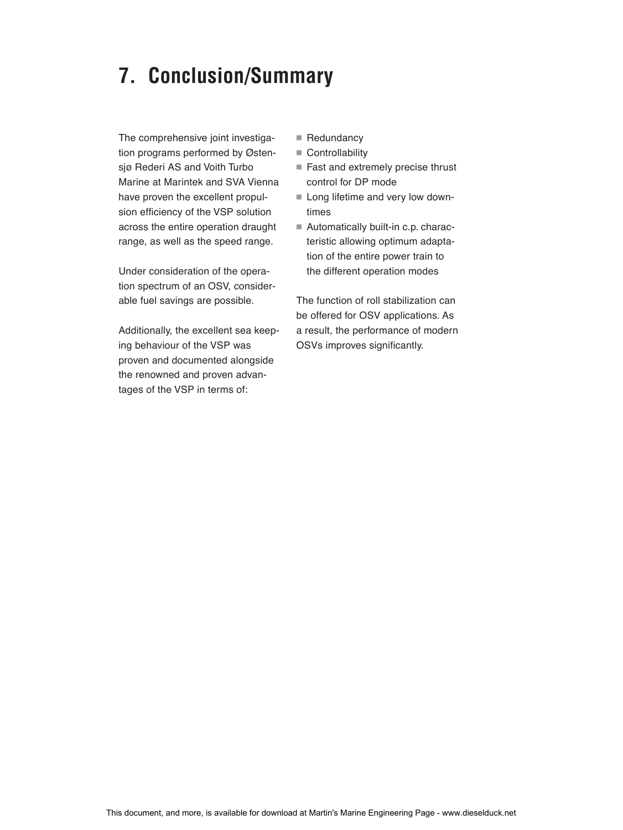## **7. Conclusion/Summary**

The comprehensive joint investigation programs performed by Østensjø Rederi AS and Voith Turbo Marine at Marintek and SVA Vienna have proven the excellent propulsion efficiency of the VSP solution across the entire operation draught range, as well as the speed range.

Under consideration of the operation spectrum of an OSV, considerable fuel savings are possible.

Additionally, the excellent sea keeping behaviour of the VSP was proven and documented alongside the renowned and proven advantages of the VSP in terms of:

- $\blacksquare$  Redundancy
- $\blacksquare$  Controllability
- $\blacksquare$  Fast and extremely precise thrust control for DP mode
- Long lifetime and very low downtimes
- $\blacksquare$  Automatically built-in c.p. characteristic allowing optimum adaptation of the entire power train to the different operation modes

The function of roll stabilization can be offered for OSV applications. As a result, the performance of modern OSVs improves significantly.